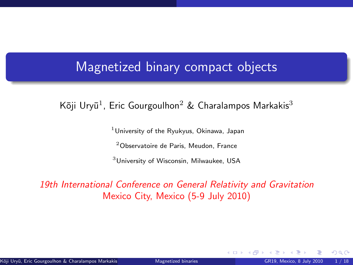### <span id="page-0-1"></span>Magnetized binary compact objects

Kōji Uryū $^1$ , Eric Gourgoulhon $^2$  & Charalampos Markakis $^3$ 

 $1$ University of the Ryukyus, Okinawa, Japan

<sup>2</sup>Observatoire de Paris, Meudon, France

<sup>3</sup>University of Wisconsin, Milwaukee, USA

#### 19th International Conference on General Relativity and Gravitation Mexico City, Mexico (5-9 July 2010)

<span id="page-0-0"></span> $\Omega$ 

← ロ ▶ → 伊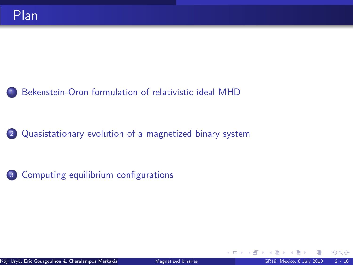### <sup>1</sup> [Bekenstein-Oron formulation of relativistic ideal MHD](#page-2-0)

<sup>2</sup> [Quasistationary evolution of a magnetized binary system](#page-7-0)

<sup>3</sup> [Computing equilibrium configurations](#page-16-0)

 $\Omega$ 

**K ロ ト K 何 ト**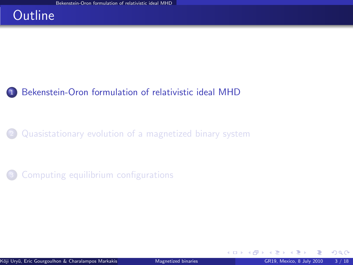## **Outline**

### <sup>1</sup> [Bekenstein-Oron formulation of relativistic ideal MHD](#page-2-0)

<sup>2</sup> [Quasistationary evolution of a magnetized binary system](#page-7-0)

[Computing equilibrium configurations](#page-16-0)

<span id="page-2-0"></span> $\Omega$ 

**≮ロ ▶ ⊀ 伊 ▶ ⊀**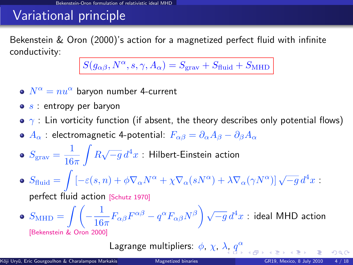# Variational principle

Bekenstein & Oron (2000)'s action for a magnetized perfect fluid with infinite conductivity:

$$
S(g_{\alpha\beta}, N^{\alpha}, s, \gamma, A_{\alpha}) = S_{\text{grav}} + S_{\text{fluid}} + S_{\text{MHD}}
$$

- $N^{\alpha} = nu^{\alpha}$  baryon number 4-current
- $\bullet$  s : entropy per baryon
- $\gamma$ : Lin vorticity function (if absent, the theory describes only potential flows)
- **•**  $A_{\alpha}$  : electromagnetic 4-potential:  $F_{\alpha\beta} = \partial_{\alpha}A_{\beta} \partial_{\beta}A_{\alpha}$
- $S_{\text{grav}} = \frac{1}{16}$  $16\pi$  $\int R \sqrt{-g} d^4x$ : Hilbert-Einstein action
- $S_{\text{fluid}} = \int \left[ -\varepsilon(s,n) + \phi \nabla_{\alpha} N^{\alpha} + \chi \nabla_{\alpha} (s N^{\alpha}) + \lambda \nabla_{\alpha} (\gamma N^{\alpha}) \right] \sqrt{-g} d^4x$ perfect fluid action [\[Schutz 1970\]](#page-0-1)

$$
\bullet\;\; S_{\mathrm{MHD}} = \int\!\!\!\!\int\!\!\!\!\left(-\frac{1}{16\pi}F_{\alpha\beta}F^{\alpha\beta} - q^\alpha F_{\alpha\beta}N^\beta\right)\sqrt{-g}\,d^4x\,\colon\text{ideal MHD action}\;\; \text{[Bekenstein &\; Oron 2000]}
$$

Lagrange multipliers:  $\phi$ ,  $\chi$ ,  $\lambda$ ,  $q^{\alpha}$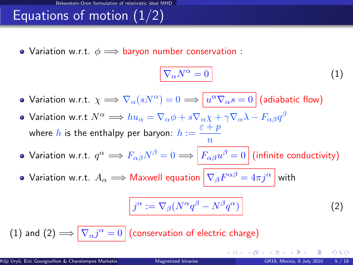# Equations of motion  $(1/2)$

• Variation w.r.t.  $\phi \implies$  baryon number conservation :

<span id="page-4-0"></span>
$$
\nabla_{\alpha}N^{\alpha}=0
$$
 (1)

- Variation w.r.t.  $\chi \Longrightarrow \nabla_\alpha(sN^\alpha) = 0 \Longrightarrow \bigl\lvert u^\alpha \nabla_\alpha s = 0 \bigr\rvert$  (adiabatic flow)
- Variation w.r.t  $N^{\alpha} \Longrightarrow hu_{\alpha}=\nabla_{\alpha}\phi+s\nabla_{\alpha}\chi+\gamma\nabla_{\alpha}\lambda-F_{\alpha\beta}q^{\beta}$ where  $h$  is the enthalpy per baryon:  $h:=\frac{\varepsilon+p}{\varepsilon}$ n
- Variation w.r.t.  $q^\alpha \Longrightarrow F_{\alpha\beta}N^\beta = 0 \Longrightarrow \left|F_{\alpha\beta}u^\beta = 0\right|$  (infinite conductivity)
- Variation w.r.t.  $A_\alpha \Longrightarrow$  Maxwell equation  $\left| \,\nabla_\beta F^{\alpha\beta} = 4\pi j^\alpha \,\right|$  with

<span id="page-4-1"></span>
$$
j^{\alpha} := \nabla_{\beta} (N^{\alpha} q^{\beta} - N^{\beta} q^{\alpha}) \tag{2}
$$

**4 ロ ト 4 何 ト 4** 

[\(1\)](#page-4-0) and  $(2)\Longrightarrow \nabla_\alpha j^\alpha=0\,big|$  $(2)\Longrightarrow \nabla_\alpha j^\alpha=0\,big|$  (conservation of electric charge)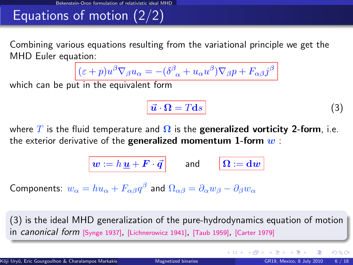# Equations of motion (2/2)

Combining various equations resulting from the variational principle we get the MHD Euler equation:

$$
(\varepsilon+p)u^{\beta}\nabla_{\beta}u_{\alpha}=-(\delta^{\beta}_{\phantom{\beta}\alpha}+u_{\alpha}u^{\beta})\nabla_{\beta}p+F_{\alpha\beta}j^{\beta}
$$

which can be put in the equivalent form

<span id="page-5-0"></span>
$$
\vec{u} \cdot \mathbf{\Omega} = T \mathbf{d}s \tag{3}
$$

**K ロ ト K 何 ト K 目** 

where T is the fluid temperature and  $\Omega$  is the generalized vorticity 2-form, i.e. the exterior derivative of the **generalized momentum 1-form**  $w$ :

$$
\boxed{ \bm{w} := h \, \underline{\bm{u}} + \bm{F} \cdot \vec{\bm{q}} } \qquad \text{and} \qquad \boxed{ \bm{\Omega} := \bm{\mathrm{d}} \bm{w} }
$$

Components:  $w_\alpha=hu_\alpha+F_{\alpha\beta}q^\beta$  and  $\Omega_{\alpha\beta}=\partial_\alpha w_\beta-\partial_\beta w_\alpha$ 

[\(3\)](#page-5-0) is the ideal MHD generalization of the pure-hydrodynamics equation of motion in *canonical form* [\[Synge 1937\]](#page-0-1), [\[Lichnerowicz 1941\]](#page-0-1), [\[Taub 1959\]](#page-0-1), [\[Carter 1979\]](#page-0-1)

 $\Omega$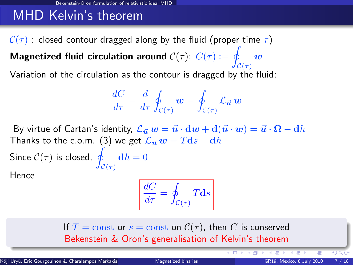# MHD Kelvin's theorem

 $C(\tau)$  : closed contour dragged along by the fluid (proper time  $\tau$ ) Magnetized fluid circulation around  $\mathcal{C}(\tau)$ :  $C(\tau) := q$  $\mathcal{C}(\tau)$ w

Variation of the circulation as the contour is dragged by the fluid:

$$
\frac{dC}{d\tau} = \frac{d}{d\tau} \oint_{\mathcal{C}(\tau)} \boldsymbol{w} = \oint_{\mathcal{C}(\tau)} \mathcal{L}_{\vec{\boldsymbol{u}}} \, \boldsymbol{w}
$$

By virtue of Cartan's identity,  $\mathcal{L}_{\vec{u}} w = \vec{u} \cdot \mathbf{d}w + \mathbf{d}(\vec{u} \cdot w) = \vec{u} \cdot \Omega - \mathbf{d}h$ Thanks to the e.o.m. [\(3\)](#page-5-0) we get  $\mathcal{L}_{\vec{u}} w = Tds - dh$ Since  $\mathcal{C}(\tau)$  is closed,  $\int$  $\mathcal{C}(\tau)$  $\mathbf{d}h = 0$ 

Hence

<span id="page-6-0"></span>
$$
\frac{dC}{d\tau} = \oint_{\mathcal{C}(\tau)} T \mathbf{d}s
$$

If  $T = \text{const}$  or  $s = \text{const}$  on  $C(\tau)$ , then C is conserved Bekenstein & Oron's generalisation of Kelvin's theorem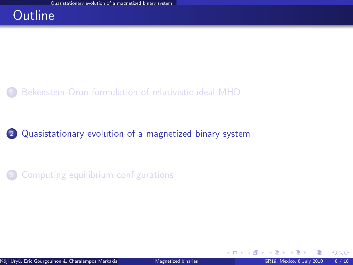## **Outline**

### [Bekenstein-Oron formulation of relativistic ideal MHD](#page-2-0)

### <sup>2</sup> [Quasistationary evolution of a magnetized binary system](#page-7-0)

### [Computing equilibrium configurations](#page-16-0)

**4 ロ ト 4 何 ト 4** 

<span id="page-7-0"></span> $299$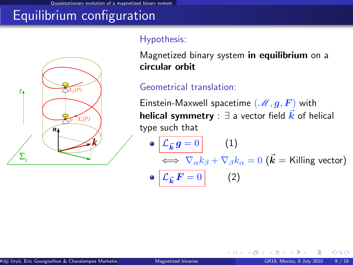Quasistationary evolution of a magnetized binary system

# Equilibrium configuration



#### Hypothesis:

Magnetized binary system in equilibrium on a circular orbit

### Geometrical translation:

Einstein-Maxwell spacetime  $(\mathscr{M}, g, F)$  with **helical symmetry** :  $\exists$  a vector field  $\vec{k}$  of helical type such that

\n- \n
$$
\mathcal{L}_{\vec{k}} g = 0
$$
\n
$$
\iff \nabla_{\alpha} k_{\beta} + \nabla_{\beta} k_{\alpha} = 0 \quad (\vec{k} = \text{Killing vector})
$$
\n
\n- \n
$$
\mathcal{L}_{\vec{k}} F = 0
$$
\n
$$
\tag{2}
$$
\n
\n

**← ロ ▶ → イ 同 →** 

 $\Omega$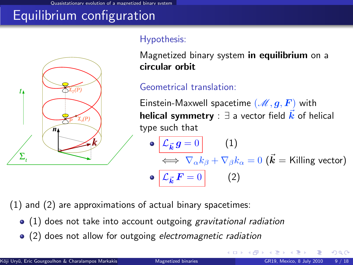istationary evolution of a magnetized binary system

# Equilibrium configuration



#### Hypothesis:

Magnetized binary system **in equilibrium** on a circular orbit

#### Geometrical translation:

Einstein-Maxwell spacetime  $(\mathscr{M}, g, F)$  with **helical symmetry** :  $\exists$  a vector field  $\vec{k}$  of helical type such that

 $\mathcal{L}_{\vec{\bm{k}}} \, {\bm{g}} = 0 \hspace{1cm} (1)$  $\iff \nabla_\alpha k_\beta + \nabla_\beta k_\alpha = 0$   $(\vec{\bm{k}} =$  Killing vector)  $\circ$   $\mathcal{L}_{\vec{k}} F = 0$  (2)

**K ロ ▶ K 伊 ▶ K 舌** 

(1) and (2) are approximations of actual binary spacetimes:

- $\bullet$  (1) does not take into account outgoing gravitational radiation
- (2) does not allow for outgoing electromagnetic radiation

 $\Omega$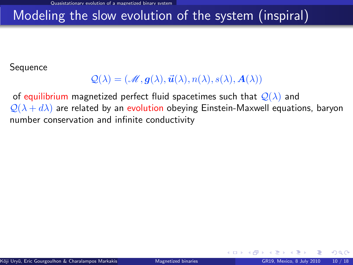# Modeling the slow evolution of the system (inspiral)

**Sequence** 

### $\mathcal{Q}(\lambda) = (\mathcal{M}, \mathbf{q}(\lambda), \vec{\mathbf{u}}(\lambda), n(\lambda), s(\lambda), \mathbf{A}(\lambda))$

of equilibrium magnetized perfect fluid spacetimes such that  $\mathcal{Q}(\lambda)$  and  $\mathcal{Q}(\lambda + d\lambda)$  are related by an evolution obeying Einstein-Maxwell equations, baryon number conservation and infinite conductivity

 $\Omega$ 

**←ロ ▶ ← イ 同 →**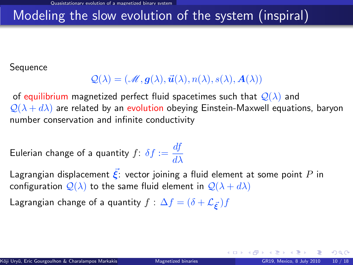# Modeling the slow evolution of the system (inspiral)

**Sequence** 

### $\mathcal{Q}(\lambda) = (\mathcal{M}, \mathbf{q}(\lambda), \vec{\mathbf{u}}(\lambda), n(\lambda), s(\lambda), \mathbf{A}(\lambda))$

of equilibrium magnetized perfect fluid spacetimes such that  $\mathcal{Q}(\lambda)$  and  $\mathcal{Q}(\lambda + d\lambda)$  are related by an evolution obeying Einstein-Maxwell equations, baryon number conservation and infinite conductivity

Eulerian change of a quantity  $f: \delta f := \frac{df}{dt}$  $d\lambda$ 

Lagrangian displacement  $\vec{\xi}$ : vector joining a fluid element at some point P in configuration  $\mathcal{Q}(\lambda)$  to the same fluid element in  $\mathcal{Q}(\lambda + d\lambda)$ 

Lagrangian change of a quantity  $f : \Delta f = (\delta + \mathcal{L}_{\vec{\epsilon}}) f$ 

 $\Omega$ 

**K ロ ト K 何 ト K 目**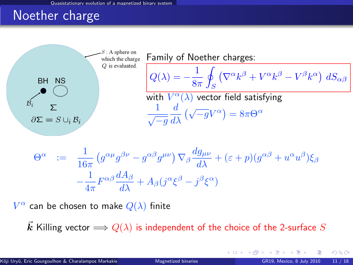## Noether charge



$$
\Theta^{\alpha} := \frac{1}{16\pi} \left( g^{\alpha\mu} g^{\beta\nu} - g^{\alpha\beta} g^{\mu\nu} \right) \nabla_{\beta} \frac{dg_{\mu\nu}}{d\lambda} + (\varepsilon + p)(g^{\alpha\beta} + u^{\alpha} u^{\beta}) \xi_{\beta}
$$

$$
- \frac{1}{4\pi} F^{\alpha\beta} \frac{dA_{\beta}}{d\lambda} + A_{\beta} (j^{\alpha} \xi^{\beta} - j^{\beta} \xi^{\alpha})
$$

 $V^{\alpha}$  can be chosen to make  $Q(\lambda)$  finite

 $\vec{k}$  Killing vector  $\Longrightarrow Q(\lambda)$  is independent of the choice of the 2-surface  $S$ 

<span id="page-12-0"></span> $\Omega$ 

**K ロ ▶ K 何 ▶ K 手**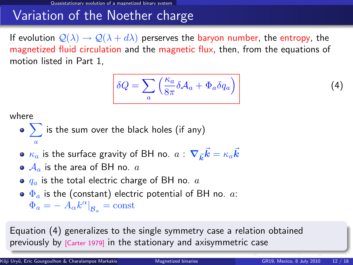## Variation of the Noether charge

If evolution  $\mathcal{Q}(\lambda) \to \mathcal{Q}(\lambda + d\lambda)$  perserves the baryon number, the entropy, the magnetized fluid circulation and the magnetic flux, then, from the equations of motion listed in Part 1,

<span id="page-13-1"></span>
$$
\delta Q = \sum_{a} \left( \frac{\kappa_a}{8\pi} \delta \mathcal{A}_a + \Phi_a \delta q_a \right)
$$

where

• 
$$
\sum_{a}
$$
 is the sum over the black holes (if any)

• 
$$
\kappa_a
$$
 is the surface gravity of BH no.  $a$  :  $\nabla_{\vec{k}}\vec{k} = \kappa_a \vec{k}$ 

$$
\bullet\,\mathcal{A}_a\,\,\hbox{is the area of BH no.}\,\,a
$$

 $\bullet$   $q_a$  is the total electric charge of BH no.  $a$ 

• 
$$
\Phi_a
$$
 is the (constant) electric potential of BH no.  $a$ :  $\Phi_a = -A_{\alpha}k^{\alpha}|_{\mathcal{B}_a} = \text{const}$ 

Equation [\(4\)](#page-13-1) generalizes to the single symmetry case a relation obtained previously by [\[Carter 1979\]](#page-0-1) in the stationary and axisym[me](#page-12-0)t[ric](#page-14-0) [ca](#page-13-0)[se](#page-14-0)

<span id="page-13-0"></span>(4)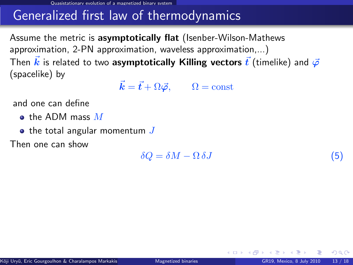Quasistationary evolution of a magnetized binary system

## Generalized first law of thermodynamics

Assume the metric is asymptotically flat (Isenber-Wilson-Mathews approximation, 2-PN approximation, waveless approximation,...) Then  $\vec{k}$  is related to two asymptotically Killing vectors  $\vec{t}$  (timelike) and  $\vec{\varphi}$ (spacelike) by

 $\vec{k} = \vec{t} + \Omega \vec{\varphi}, \qquad \Omega = \text{const}$ 

and one can define

- $\bullet$  the ADM mass  $M$
- $\bullet$  the total angular momentum  $J$

Then one can show

<span id="page-14-1"></span> $\delta Q = \delta M - \Omega \, \delta J$  (5)

**←ロ ▶ ← イ 同 →** 

<span id="page-14-0"></span> $\Omega$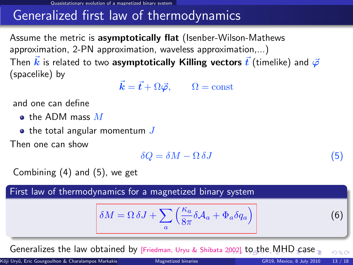Quasistationary evolution of a magnetized binary system

# Generalized first law of thermodynamics

Assume the metric is asymptotically flat (Isenber-Wilson-Mathews approximation, 2-PN approximation, waveless approximation,...) Then  $\vec{k}$  is related to two asymptotically Killing vectors  $\vec{t}$  (timelike) and  $\vec{\varphi}$ (spacelike) by

 $\vec{k} = \vec{t} + \Omega \vec{\varphi}, \qquad \Omega = \text{const}$ 

and one can define

- $\bullet$  the ADM mass  $M$
- $\bullet$  the total angular momentum  $J$

Then one can show

<span id="page-15-0"></span>
$$
\delta Q = \delta M - \Omega \, \delta J \tag{5}
$$

Combining [\(4\)](#page-13-1) and [\(5\)](#page-14-1), we get

First law of thermodynamics for a magnetized binary system

$$
\delta M = \Omega \, \delta J + \sum_{a} \left( \frac{\kappa_a}{8\pi} \delta \mathcal{A}_a + \Phi_a \delta q_a \right) \tag{6}
$$

Generalizes the law obtained by [\[Friedman, Uryu & Shibata 2002\]](#page-0-1) [to](#page-13-0) [t](#page-15-0)[h](#page-16-0)[e](#page-6-0) [M](#page-7-0)[H](#page-16-0)[D](#page-6-0)[c](#page-15-0)[as](#page-16-0)[e](#page-0-0)  $290$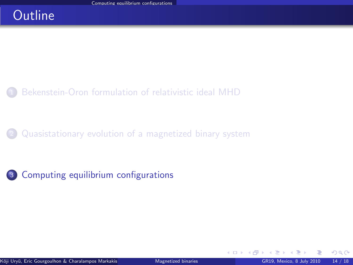## **Outline**

### [Bekenstein-Oron formulation of relativistic ideal MHD](#page-2-0)

[Quasistationary evolution of a magnetized binary system](#page-7-0)

<sup>3</sup> [Computing equilibrium configurations](#page-16-0)

<span id="page-16-0"></span> $\Omega$ 

**K ロ ト K 何 ト**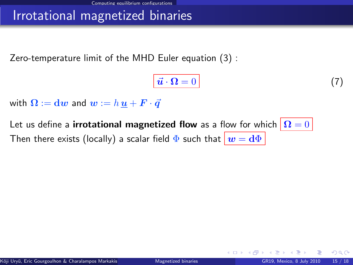## Irrotational magnetized binaries

Zero-temperature limit of the MHD Euler equation [\(3\)](#page-5-0) :

<span id="page-17-0"></span>
$$
\vec{u} \cdot \mathbf{\Omega} = 0 \tag{7}
$$

with  $\Omega := dw$  and  $w := h u + \mathbf{F} \cdot \vec{q}$ 

Let us define a **irrotational magnetized flow** as a flow for which  $|\Omega = 0|$ Then there exists (locally) a scalar field  $\Phi$  such that  $\boxed{w = d\Phi}$ 

 $\Omega$ 

◂<del>◻▸ кฅ</del>▸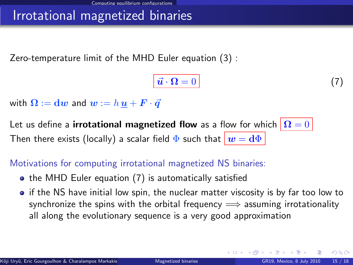## Irrotational magnetized binaries

Zero-temperature limit of the MHD Euler equation [\(3\)](#page-5-0) :

$$
\vec{u} \cdot \mathbf{\Omega} = 0 \tag{7}
$$

with  $\Omega := dw$  and  $w := h u + F \cdot \vec{q}$ 

Let us define a **irrotational magnetized flow** as a flow for which  $|\Omega = 0|$ Then there exists (locally) a scalar field  $\Phi$  such that  $w = d\Phi$ 

Motivations for computing irrotational magnetized NS binaries:

- the MHD Euler equation [\(7\)](#page-17-0) is automatically satisfied
- if the NS have initial low spin, the nuclear matter viscosity is by far too low to synchronize the spins with the orbital frequency  $\implies$  assuming irrotationality all along the evolutionary sequence is a very good approximation

 $\Omega$ 

**K ロ ト K 何 ト K ヨ ト**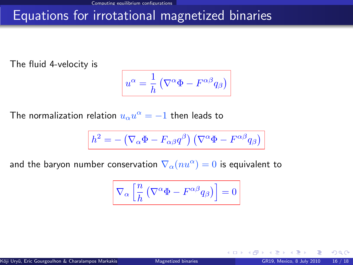# Equations for irrotational magnetized binaries

The fluid 4-velocity is

$$
u^{\alpha} = \frac{1}{h} \left( \nabla^{\alpha} \Phi - F^{\alpha \beta} q_{\beta} \right)
$$

The normalization relation  $u_{\alpha}u^{\alpha}=-1$  then leads to

$$
h^2 = -(\nabla_\alpha \Phi - F_{\alpha\beta}q^\beta) (\nabla^\alpha \Phi - F^{\alpha\beta} q_\beta)
$$

and the baryon number conservation  $\nabla_\alpha (nu^\alpha) = 0$  is equivalent to

$$
\nabla_\alpha \left[ \frac{n}{h} \left( \nabla^\alpha \Phi - F^{\alpha \beta} q_\beta \right) \right] = 0
$$

 $\Omega$ 

**← ロ ▶ → イ 同**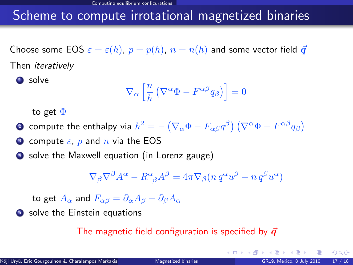## Scheme to compute irrotational magnetized binaries

Choose some EOS  $\varepsilon = \varepsilon(h)$ ,  $p = p(h)$ ,  $n = n(h)$  and some vector field  $\vec{q}$ Then iteratively

**1** solve

$$
\nabla_{\alpha} \left[ \frac{n}{h} \left( \nabla^{\alpha} \Phi - F^{\alpha \beta} q_{\beta} \right) \right] = 0
$$

to get  $\Phi$ 

- $2$  compute the enthalpy via  $h^2 = -\left(\nabla_\alpha \Phi F_{\alpha\beta} q^\beta\right)\left(\nabla^\alpha \Phi F^{\alpha\beta} q_\beta\right)$
- **3** compute  $\varepsilon$ , p and n via the EOS
- **•** solve the Maxwell equation (in Lorenz gauge)

$$
\nabla_{\beta}\nabla^{\beta}A^{\alpha} - R^{\alpha}_{\beta}A^{\beta} = 4\pi \nabla_{\beta}(n q^{\alpha}u^{\beta} - n q^{\beta}u^{\alpha})
$$

to get  $A_{\alpha}$  and  $F_{\alpha\beta} = \partial_{\alpha}A_{\beta} - \partial_{\beta}A_{\alpha}$ 

**5** solve the Einstein equations

#### The magnetic field configuration is specified by  $\vec{q}$

 $\Omega$ 

**K ロ ▶ K 何 ▶ K**